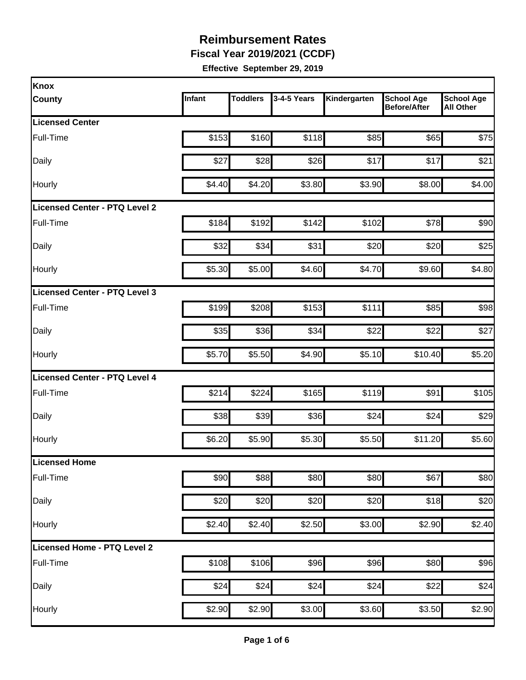**Fiscal Year 2019/2021 (CCDF)** 

| Knox                          |        |                 |             |              |                                          |                                       |
|-------------------------------|--------|-----------------|-------------|--------------|------------------------------------------|---------------------------------------|
| <b>County</b>                 | Infant | <b>Toddlers</b> | 3-4-5 Years | Kindergarten | <b>School Age</b><br><b>Before/After</b> | <b>School Age</b><br><b>All Other</b> |
| <b>Licensed Center</b>        |        |                 |             |              |                                          |                                       |
| Full-Time                     | \$153  | \$160           | \$118       | \$85         | \$65                                     | \$75                                  |
| Daily                         | \$27   | \$28            | \$26        | \$17         | \$17                                     | \$21                                  |
| Hourly                        | \$4.40 | \$4.20          | \$3.80      | \$3.90       | \$8.00                                   | \$4.00                                |
| Licensed Center - PTQ Level 2 |        |                 |             |              |                                          |                                       |
| Full-Time                     | \$184  | \$192           | \$142       | \$102        | \$78                                     | \$90                                  |
| Daily                         | \$32   | \$34            | \$31        | \$20         | \$20                                     | \$25                                  |
| Hourly                        | \$5.30 | \$5.00          | \$4.60      | \$4.70       | \$9.60                                   | \$4.80                                |
| Licensed Center - PTQ Level 3 |        |                 |             |              |                                          |                                       |
| Full-Time                     | \$199  | \$208           | \$153       | \$111        | \$85                                     | \$98                                  |
| Daily                         | \$35   | \$36            | \$34        | \$22         | \$22                                     | \$27                                  |
| Hourly                        | \$5.70 | \$5.50          | \$4.90      | \$5.10       | \$10.40                                  | \$5.20                                |
| Licensed Center - PTQ Level 4 |        |                 |             |              |                                          |                                       |
| Full-Time                     | \$214  | \$224           | \$165       | \$119        | \$91                                     | \$105                                 |
| Daily                         | \$38   | \$39            | \$36        | \$24         | \$24                                     | \$29                                  |
| Hourly                        | \$6.20 | \$5.90          | \$5.30      | \$5.50       | \$11.20                                  | \$5.60                                |
| <b>Licensed Home</b>          |        |                 |             |              |                                          |                                       |
| Full-Time                     | \$90   | \$88            | \$80        | \$80         | \$67                                     | \$80                                  |
| Daily                         | \$20   | \$20            | \$20        | \$20         | \$18                                     | \$20                                  |
| Hourly                        | \$2.40 | \$2.40          | \$2.50      | \$3.00       | \$2.90                                   | \$2.40                                |
| Licensed Home - PTQ Level 2   |        |                 |             |              |                                          |                                       |
| Full-Time                     | \$108  | \$106           | \$96        | \$96         | \$80                                     | \$96                                  |
| Daily                         | \$24   | \$24            | \$24        | \$24         | \$22                                     | \$24                                  |
| Hourly                        | \$2.90 | \$2.90          | \$3.00      | \$3.60       | \$3.50                                   | \$2.90                                |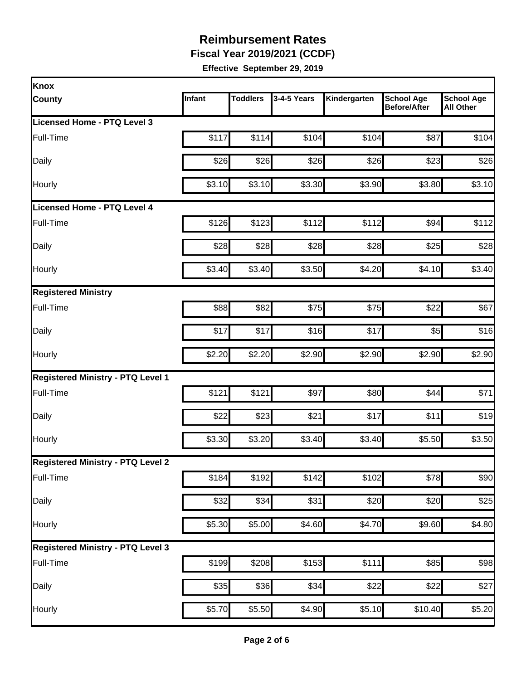**Fiscal Year 2019/2021 (CCDF)** 

| Knox                                     |        |                 |             |              |                                          |                                       |
|------------------------------------------|--------|-----------------|-------------|--------------|------------------------------------------|---------------------------------------|
| <b>County</b>                            | Infant | <b>Toddlers</b> | 3-4-5 Years | Kindergarten | <b>School Age</b><br><b>Before/After</b> | <b>School Age</b><br><b>All Other</b> |
| Licensed Home - PTQ Level 3              |        |                 |             |              |                                          |                                       |
| Full-Time                                | \$117  | \$114           | \$104       | \$104        | \$87                                     | \$104                                 |
| Daily                                    | \$26   | \$26            | \$26        | \$26         | \$23                                     | \$26                                  |
| Hourly                                   | \$3.10 | \$3.10          | \$3.30      | \$3.90       | \$3.80                                   | \$3.10                                |
| Licensed Home - PTQ Level 4              |        |                 |             |              |                                          |                                       |
| Full-Time                                | \$126  | \$123           | \$112       | \$112        | \$94                                     | \$112                                 |
| Daily                                    | \$28   | \$28            | \$28        | \$28         | \$25                                     | \$28                                  |
| Hourly                                   | \$3.40 | \$3.40          | \$3.50      | \$4.20       | \$4.10                                   | \$3.40                                |
| <b>Registered Ministry</b>               |        |                 |             |              |                                          |                                       |
| Full-Time                                | \$88   | \$82            | \$75        | \$75         | \$22                                     | \$67                                  |
| Daily                                    | \$17   | \$17            | \$16        | \$17         | \$5                                      | \$16                                  |
| Hourly                                   | \$2.20 | \$2.20          | \$2.90      | \$2.90       | \$2.90                                   | \$2.90                                |
| <b>Registered Ministry - PTQ Level 1</b> |        |                 |             |              |                                          |                                       |
| Full-Time                                | \$121  | \$121           | \$97        | \$80         | \$44                                     | \$71                                  |
| Daily                                    | \$22   | \$23            | \$21        | \$17         | \$11                                     | \$19                                  |
| Hourly                                   | \$3.30 | \$3.20          | \$3.40      | \$3.40       | \$5.50                                   | \$3.50                                |
| <b>Registered Ministry - PTQ Level 2</b> |        |                 |             |              |                                          |                                       |
| Full-Time                                | \$184  | \$192           | \$142       | \$102        | \$78                                     | \$90                                  |
| Daily                                    | \$32   | \$34            | \$31        | \$20         | \$20                                     | \$25                                  |
| Hourly                                   | \$5.30 | \$5.00          | \$4.60      | \$4.70       | \$9.60                                   | \$4.80                                |
| <b>Registered Ministry - PTQ Level 3</b> |        |                 |             |              |                                          |                                       |
| Full-Time                                | \$199  | \$208           | \$153       | \$111        | \$85                                     | \$98                                  |
| Daily                                    | \$35   | \$36            | \$34        | \$22         | \$22                                     | \$27                                  |
| Hourly                                   | \$5.70 | \$5.50          | \$4.90      | \$5.10       | \$10.40                                  | \$5.20                                |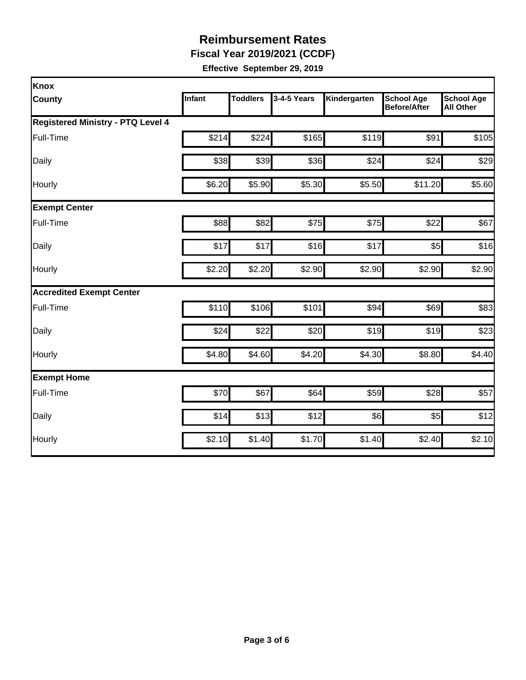**Fiscal Year 2019/2021 (CCDF)** 

| Knox                                     |        |                 |             |              |                                          |                                       |
|------------------------------------------|--------|-----------------|-------------|--------------|------------------------------------------|---------------------------------------|
| <b>County</b>                            | Infant | <b>Toddlers</b> | 3-4-5 Years | Kindergarten | <b>School Age</b><br><b>Before/After</b> | <b>School Age</b><br><b>All Other</b> |
| <b>Registered Ministry - PTQ Level 4</b> |        |                 |             |              |                                          |                                       |
| Full-Time                                | \$214  | \$224           | \$165       | \$119        | \$91                                     | \$105                                 |
| Daily                                    | \$38   | \$39            | \$36        | \$24         | \$24                                     | \$29                                  |
| Hourly                                   | \$6.20 | \$5.90          | \$5.30      | \$5.50       | \$11.20                                  | \$5.60                                |
| <b>Exempt Center</b>                     |        |                 |             |              |                                          |                                       |
| Full-Time                                | \$88   | \$82            | \$75        | \$75         | \$22                                     | \$67                                  |
| Daily                                    | \$17   | \$17            | \$16        | \$17         | \$5                                      | \$16                                  |
| Hourly                                   | \$2.20 | \$2.20          | \$2.90      | \$2.90       | \$2.90                                   | \$2.90                                |
| <b>Accredited Exempt Center</b>          |        |                 |             |              |                                          |                                       |
| Full-Time                                | \$110  | \$106           | \$101       | \$94         | \$69                                     | \$83                                  |
| Daily                                    | \$24   | \$22            | \$20        | \$19         | \$19                                     | \$23                                  |
| Hourly                                   | \$4.80 | \$4.60          | \$4.20      | \$4.30       | \$8.80                                   | \$4.40                                |
| <b>Exempt Home</b>                       |        |                 |             |              |                                          |                                       |
| Full-Time                                | \$70   | \$67            | \$64        | \$59         | \$28                                     | \$57                                  |
| Daily                                    | \$14   | \$13            | \$12        | \$6          | \$5                                      | \$12                                  |
| Hourly                                   | \$2.10 | \$1.40          | \$1.70      | \$1.40       | \$2.40                                   | \$2.10                                |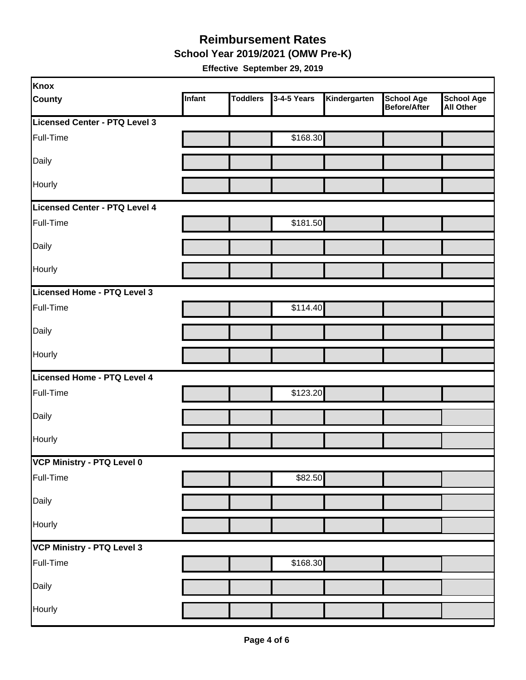**School Year 2019/2021 (OMW Pre-K)** 

| Knox                          |        |                 |             |              |                                   |                                       |
|-------------------------------|--------|-----------------|-------------|--------------|-----------------------------------|---------------------------------------|
| <b>County</b>                 | Infant | <b>Toddlers</b> | 3-4-5 Years | Kindergarten | <b>School Age</b><br>Before/After | <b>School Age</b><br><b>All Other</b> |
| Licensed Center - PTQ Level 3 |        |                 |             |              |                                   |                                       |
| Full-Time                     |        |                 | \$168.30    |              |                                   |                                       |
| Daily                         |        |                 |             |              |                                   |                                       |
| Hourly                        |        |                 |             |              |                                   |                                       |
| Licensed Center - PTQ Level 4 |        |                 |             |              |                                   |                                       |
| Full-Time                     |        |                 | \$181.50    |              |                                   |                                       |
| Daily                         |        |                 |             |              |                                   |                                       |
| Hourly                        |        |                 |             |              |                                   |                                       |
| Licensed Home - PTQ Level 3   |        |                 |             |              |                                   |                                       |
| Full-Time                     |        |                 | \$114.40    |              |                                   |                                       |
| Daily                         |        |                 |             |              |                                   |                                       |
| Hourly                        |        |                 |             |              |                                   |                                       |
| Licensed Home - PTQ Level 4   |        |                 |             |              |                                   |                                       |
| Full-Time                     |        |                 | \$123.20    |              |                                   |                                       |
| Daily                         |        |                 |             |              |                                   |                                       |
| Hourly                        |        |                 |             |              |                                   |                                       |
| VCP Ministry - PTQ Level 0    |        |                 |             |              |                                   |                                       |
| Full-Time                     |        |                 | \$82.50     |              |                                   |                                       |
| Daily                         |        |                 |             |              |                                   |                                       |
| Hourly                        |        |                 |             |              |                                   |                                       |
| VCP Ministry - PTQ Level 3    |        |                 |             |              |                                   |                                       |
| Full-Time                     |        |                 | \$168.30    |              |                                   |                                       |
| Daily                         |        |                 |             |              |                                   |                                       |
| Hourly                        |        |                 |             |              |                                   |                                       |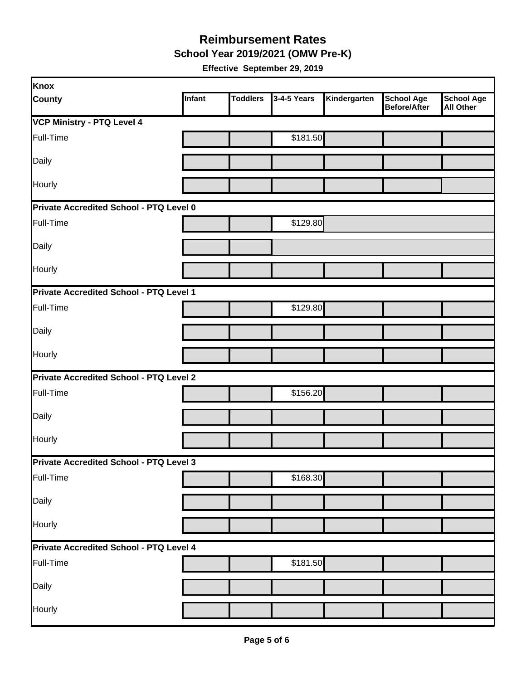**School Year 2019/2021 (OMW Pre-K)** 

| Knox                                           |        |                 |             |              |                                   |                                       |
|------------------------------------------------|--------|-----------------|-------------|--------------|-----------------------------------|---------------------------------------|
| <b>County</b>                                  | Infant | <b>Toddlers</b> | 3-4-5 Years | Kindergarten | <b>School Age</b><br>Before/After | <b>School Age</b><br><b>All Other</b> |
| VCP Ministry - PTQ Level 4                     |        |                 |             |              |                                   |                                       |
| Full-Time                                      |        |                 | \$181.50    |              |                                   |                                       |
| Daily                                          |        |                 |             |              |                                   |                                       |
| Hourly                                         |        |                 |             |              |                                   |                                       |
| Private Accredited School - PTQ Level 0        |        |                 |             |              |                                   |                                       |
| Full-Time                                      |        |                 | \$129.80    |              |                                   |                                       |
| Daily                                          |        |                 |             |              |                                   |                                       |
| Hourly                                         |        |                 |             |              |                                   |                                       |
| Private Accredited School - PTQ Level 1        |        |                 |             |              |                                   |                                       |
| Full-Time                                      |        |                 | \$129.80    |              |                                   |                                       |
| Daily                                          |        |                 |             |              |                                   |                                       |
| Hourly                                         |        |                 |             |              |                                   |                                       |
| <b>Private Accredited School - PTQ Level 2</b> |        |                 |             |              |                                   |                                       |
| Full-Time                                      |        |                 | \$156.20    |              |                                   |                                       |
| Daily                                          |        |                 |             |              |                                   |                                       |
| Hourly                                         |        |                 |             |              |                                   |                                       |
| Private Accredited School - PTQ Level 3        |        |                 |             |              |                                   |                                       |
| Full-Time                                      |        |                 | \$168.30    |              |                                   |                                       |
| Daily                                          |        |                 |             |              |                                   |                                       |
| Hourly                                         |        |                 |             |              |                                   |                                       |
| Private Accredited School - PTQ Level 4        |        |                 |             |              |                                   |                                       |
| Full-Time                                      |        |                 | \$181.50    |              |                                   |                                       |
| Daily                                          |        |                 |             |              |                                   |                                       |
| Hourly                                         |        |                 |             |              |                                   |                                       |